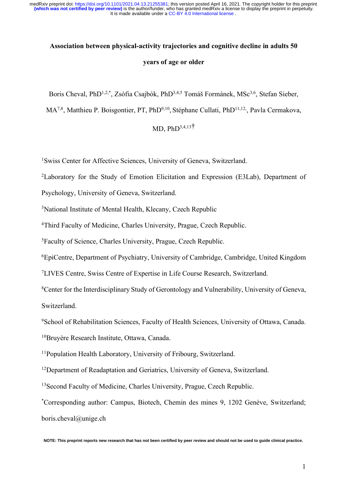# **Association between physical-activity trajectories and cognitive decline in adults 50 years of age or older**

Boris Cheval, PhD<sup>1,2,\*</sup>, Zsófia Csajbók, PhD<sup>3,4,5</sup> Tomáš Formánek, MSc<sup>3,6</sup>, Stefan Sieber,

MA<sup>7,8</sup>, Matthieu P. Boisgontier, PT, PhD<sup>9,10</sup>, Stéphane Cullati, PhD<sup>11,12</sup>, Pavla Cermakova,

# MD,  $PhD^{3,4,13}$ <sup>†</sup>

1 Swiss Center for Affective Sciences, University of Geneva, Switzerland.

2Laboratory for the Study of Emotion Elicitation and Expression (E3Lab), Department of

Psychology, University of Geneva, Switzerland.

<sup>3</sup>National Institute of Mental Health, Klecany, Czech Republic

4 Third Faculty of Medicine, Charles University, Prague, Czech Republic.

5Faculty of Science, Charles University, Prague, Czech Republic.

6 EpiCentre, Department of Psychiatry, University of Cambridge, Cambridge, United Kingdom

7LIVES Centre, Swiss Centre of Expertise in Life Course Research, Switzerland.

8Center for the Interdisciplinary Study of Gerontology and Vulnerability, University of Geneva, Switzerland.

<sup>9</sup>School of Rehabilitation Sciences, Faculty of Health Sciences, University of Ottawa, Canada. 10Bruyère Research Institute, Ottawa, Canada.

11Population Health Laboratory, University of Fribourg, Switzerland.

<sup>12</sup>Department of Readaptation and Geriatrics, University of Geneva, Switzerland.

<sup>13</sup>Second Faculty of Medicine, Charles University, Prague, Czech Republic.

\* Corresponding author: Campus, Biotech, Chemin des mines 9, 1202 Genève, Switzerland; boris.cheval@unige.ch

**NOTE: This preprint reports new research that has not been certified by peer review and should not be used to guide clinical practice.**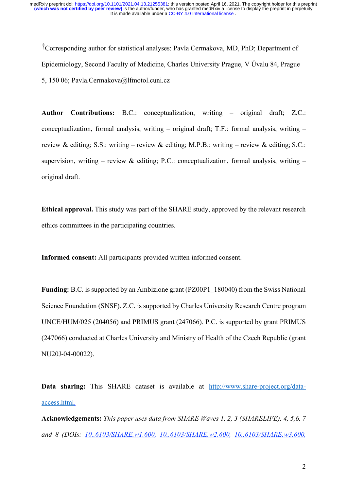†Corresponding author for statistical analyses: Pavla Cermakova, MD, PhD; Department of Epidemiology, Second Faculty of Medicine, Charles University Prague, V Úvalu 84, Prague 5, 150 06; Pavla.Cermakova@lfmotol.cuni.cz

**Author Contributions:** B.C.: conceptualization, writing – original draft; Z.C.: conceptualization, formal analysis, writing – original draft; T.F.: formal analysis, writing – review & editing; S.S.: writing – review & editing; M.P.B.: writing – review & editing; S.C.: supervision, writing – review & editing; P.C.: conceptualization, formal analysis, writing – original draft.

**Ethical approval.** This study was part of the SHARE study, approved by the relevant research ethics committees in the participating countries.

**Informed consent:** All participants provided written informed consent.

**Funding:** B.C. is supported by an Ambizione grant (PZ00P1\_180040) from the Swiss National Science Foundation (SNSF). Z.C. is supported by Charles University Research Centre program UNCE/HUM/025 (204056) and PRIMUS grant (247066). P.C. is supported by grant PRIMUS (247066) conducted at Charles University and Ministry of Health of the Czech Republic (grant NU20J-04-00022).

**Data sharing:** This SHARE dataset is available at http://www.share-project.org/dataaccess.html.

**Acknowledgements:** *This paper uses data from SHARE Waves 1, 2, 3 (SHARELIFE), 4, 5,6, 7 and 8 (DOIs: 10..6103/SHARE.w1.600, 10..6103/SHARE.w2.600, 10..6103/SHARE.w3.600,*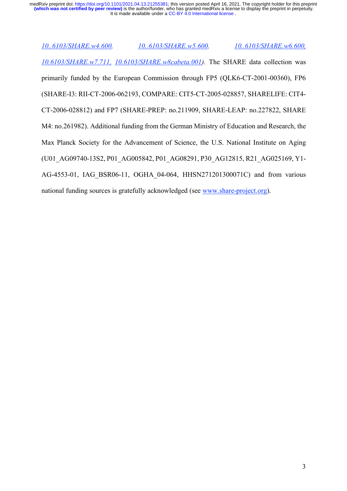*10..6103/SHARE.w4.600, 10..6103/SHARE.w5.600, 10..6103/SHARE.w6.600, 10.6103/SHARE.w7.711, 10.6103/SHARE.w8cabeta.001).* The SHARE data collection was primarily funded by the European Commission through FP5 (QLK6-CT-2001-00360), FP6 (SHARE-I3: RII-CT-2006-062193, COMPARE: CIT5-CT-2005-028857, SHARELIFE: CIT4- CT-2006-028812) and FP7 (SHARE-PREP: no.211909, SHARE-LEAP: no.227822, SHARE M4: no.261982). Additional funding from the German Ministry of Education and Research, the Max Planck Society for the Advancement of Science, the U.S. National Institute on Aging (U01\_AG09740-13S2, P01\_AG005842, P01\_AG08291, P30\_AG12815, R21\_AG025169, Y1- AG-4553-01, IAG\_BSR06-11, OGHA\_04-064, HHSN271201300071C) and from various national funding sources is gratefully acknowledged (see www.share-project.org).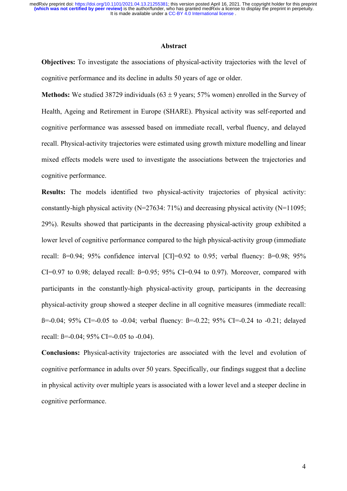#### **Abstract**

**Objectives:** To investigate the associations of physical-activity trajectories with the level of cognitive performance and its decline in adults 50 years of age or older.

**Methods:** We studied 38729 individuals  $(63 \pm 9 \text{ years}; 57\% \text{ women})$  enrolled in the Survey of Health, Ageing and Retirement in Europe (SHARE). Physical activity was self-reported and cognitive performance was assessed based on immediate recall, verbal fluency, and delayed recall. Physical-activity trajectories were estimated using growth mixture modelling and linear mixed effects models were used to investigate the associations between the trajectories and cognitive performance.

**Results:** The models identified two physical-activity trajectories of physical activity: constantly-high physical activity ( $N=27634$ : 71%) and decreasing physical activity ( $N=11095$ ; 29%). Results showed that participants in the decreasing physical-activity group exhibited a lower level of cognitive performance compared to the high physical-activity group (immediate recall:  $\beta$ =0.94; 95% confidence interval [CI]=0.92 to 0.95; verbal fluency:  $\beta$ =0.98; 95% CI=0.97 to 0.98; delayed recall:  $\beta$ =0.95; 95% CI=0.94 to 0.97). Moreover, compared with participants in the constantly-high physical-activity group, participants in the decreasing physical-activity group showed a steeper decline in all cognitive measures (immediate recall: ß=-0.04; 95% CI=-0.05 to -0.04; verbal fluency: ß=-0.22; 95% CI=-0.24 to -0.21; delayed recall:  $\beta$ =-0.04; 95% CI=-0.05 to -0.04).

**Conclusions:** Physical-activity trajectories are associated with the level and evolution of cognitive performance in adults over 50 years. Specifically, our findings suggest that a decline in physical activity over multiple years is associated with a lower level and a steeper decline in cognitive performance.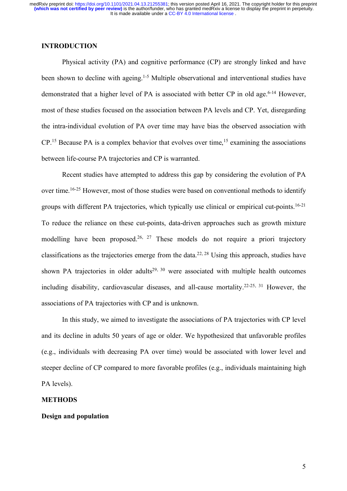# **INTRODUCTION**

Physical activity (PA) and cognitive performance (CP) are strongly linked and have been shown to decline with ageing.<sup>1-5</sup> Multiple observational and interventional studies have demonstrated that a higher level of PA is associated with better CP in old age. 6-14 However, most of these studies focused on the association between PA levels and CP. Yet, disregarding the intra-individual evolution of PA over time may have bias the observed association with CP.<sup>15</sup> Because PA is a complex behavior that evolves over time,<sup>15</sup> examining the associations between life-course PA trajectories and CP is warranted.

Recent studies have attempted to address this gap by considering the evolution of PA over time.<sup>16-25</sup> However, most of those studies were based on conventional methods to identify groups with different PA trajectories, which typically use clinical or empirical cut-points. 16-21 To reduce the reliance on these cut-points, data-driven approaches such as growth mixture modelling have been proposed.<sup>26, 27</sup> These models do not require a priori trajectory classifications as the trajectories emerge from the data. 22, 28 Using this approach, studies have shown PA trajectories in older adults<sup>29, 30</sup> were associated with multiple health outcomes including disability, cardiovascular diseases, and all-cause mortality.<sup>22-25, 31</sup> However, the associations of PA trajectories with CP and is unknown.

In this study, we aimed to investigate the associations of PA trajectories with CP level and its decline in adults 50 years of age or older. We hypothesized that unfavorable profiles (e.g., individuals with decreasing PA over time) would be associated with lower level and steeper decline of CP compared to more favorable profiles (e.g., individuals maintaining high PA levels).

#### **METHODS**

# **Design and population**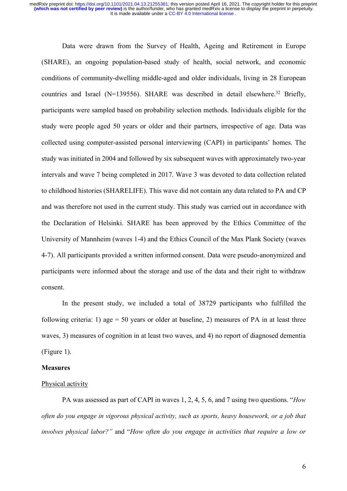Data were drawn from the Survey of Health, Ageing and Retirement in Europe (SHARE), an ongoing population-based study of health, social network, and economic conditions of community-dwelling middle-aged and older individuals, living in 28 European countries and Israel (N=139556). SHARE was described in detail elsewhere. <sup>32</sup> Briefly, participants were sampled based on probability selection methods. Individuals eligible for the study were people aged 50 years or older and their partners, irrespective of age. Data was collected using computer-assisted personal interviewing (CAPI) in participants' homes. The study was initiated in 2004 and followed by six subsequent waves with approximately two-year intervals and wave 7 being completed in 2017. Wave 3 was devoted to data collection related to childhood histories (SHARELIFE). This wave did not contain any data related to PA and CP and was therefore not used in the current study. This study was carried out in accordance with the Declaration of Helsinki. SHARE has been approved by the Ethics Committee of the University of Mannheim (waves 1-4) and the Ethics Council of the Max Plank Society (waves 4-7). All participants provided a written informed consent. Data were pseudo-anonymized and participants were informed about the storage and use of the data and their right to withdraw consent.

In the present study, we included a total of 38729 participants who fulfilled the following criteria: 1) age  $= 50$  years or older at baseline, 2) measures of PA in at least three waves, 3) measures of cognition in at least two waves, and 4) no report of diagnosed dementia (Figure 1).

## **Measures**

### Physical activity

PA was assessed as part of CAPI in waves 1, 2, 4, 5, 6, and 7 using two questions. "*How often do you engage in vigorous physical activity, such as sports, heavy housework, or a job that involves physical labor?"* and "*How often do you engage in activities that require a low or*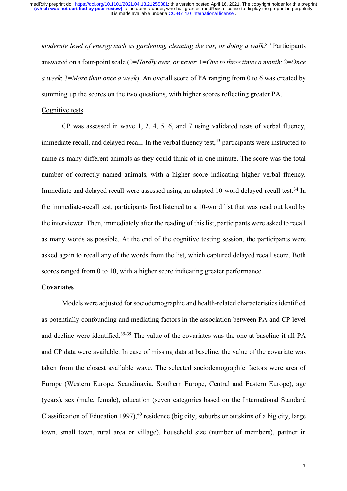*moderate level of energy such as gardening, cleaning the car, or doing a walk?"* Participants answered on a four-point scale (0=*Hardly ever, or never*; 1=*One to three times a month*; 2=*Once a week*; 3=*More than once a week*). An overall score of PA ranging from 0 to 6 was created by summing up the scores on the two questions, with higher scores reflecting greater PA.

#### Cognitive tests

CP was assessed in wave 1, 2, 4, 5, 6, and 7 using validated tests of verbal fluency, immediate recall, and delayed recall. In the verbal fluency test,  $33$  participants were instructed to name as many different animals as they could think of in one minute. The score was the total number of correctly named animals, with a higher score indicating higher verbal fluency. Immediate and delayed recall were assessed using an adapted 10-word delayed-recall test.<sup>34</sup> In the immediate-recall test, participants first listened to a 10-word list that was read out loud by the interviewer. Then, immediately after the reading of this list, participants were asked to recall as many words as possible. At the end of the cognitive testing session, the participants were asked again to recall any of the words from the list, which captured delayed recall score. Both scores ranged from 0 to 10, with a higher score indicating greater performance.

# **Covariates**

Models were adjusted for sociodemographic and health-related characteristics identified as potentially confounding and mediating factors in the association between PA and CP level and decline were identified. 35-39 The value of the covariates was the one at baseline if all PA and CP data were available. In case of missing data at baseline, the value of the covariate was taken from the closest available wave. The selected sociodemographic factors were area of Europe (Western Europe, Scandinavia, Southern Europe, Central and Eastern Europe), age (years), sex (male, female), education (seven categories based on the International Standard Classification of Education 1997),  $40$  residence (big city, suburbs or outskirts of a big city, large town, small town, rural area or village), household size (number of members), partner in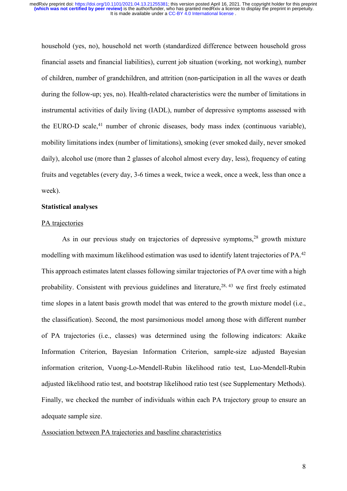household (yes, no), household net worth (standardized difference between household gross financial assets and financial liabilities), current job situation (working, not working), number of children, number of grandchildren, and attrition (non-participation in all the waves or death during the follow-up; yes, no). Health-related characteristics were the number of limitations in instrumental activities of daily living (IADL), number of depressive symptoms assessed with the EURO-D scale,<sup>41</sup> number of chronic diseases, body mass index (continuous variable), mobility limitations index (number of limitations), smoking (ever smoked daily, never smoked daily), alcohol use (more than 2 glasses of alcohol almost every day, less), frequency of eating fruits and vegetables (every day, 3-6 times a week, twice a week, once a week, less than once a week).

#### **Statistical analyses**

#### PA trajectories

As in our previous study on trajectories of depressive symptoms,<sup>28</sup> growth mixture modelling with maximum likelihood estimation was used to identify latent trajectories of PA.<sup>42</sup> This approach estimates latent classes following similar trajectories of PA over time with a high probability. Consistent with previous guidelines and literature,<sup>28, 43</sup> we first freely estimated time slopes in a latent basis growth model that was entered to the growth mixture model (i.e., the classification). Second, the most parsimonious model among those with different number of PA trajectories (i.e., classes) was determined using the following indicators: Akaike Information Criterion, Bayesian Information Criterion, sample-size adjusted Bayesian information criterion, Vuong-Lo-Mendell-Rubin likelihood ratio test, Luo-Mendell-Rubin adjusted likelihood ratio test, and bootstrap likelihood ratio test (see Supplementary Methods). Finally, we checked the number of individuals within each PA trajectory group to ensure an adequate sample size.

## Association between PA trajectories and baseline characteristics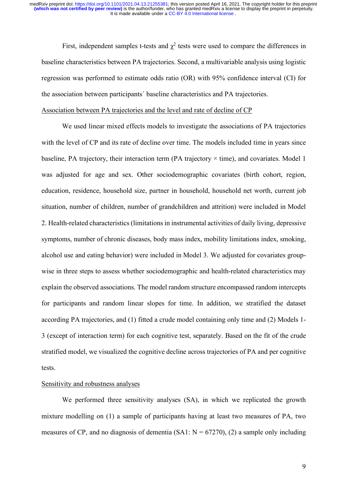First, independent samples t-tests and  $\chi^2$  tests were used to compare the differences in baseline characteristics between PA trajectories. Second, a multivariable analysis using logistic regression was performed to estimate odds ratio (OR) with 95% confidence interval (CI) for the association between participants´ baseline characteristics and PA trajectories.

#### Association between PA trajectories and the level and rate of decline of CP

We used linear mixed effects models to investigate the associations of PA trajectories with the level of CP and its rate of decline over time. The models included time in years since baseline, PA trajectory, their interaction term (PA trajectory  $\times$  time), and covariates. Model 1 was adjusted for age and sex. Other sociodemographic covariates (birth cohort, region, education, residence, household size, partner in household, household net worth, current job situation, number of children, number of grandchildren and attrition) were included in Model 2. Health-related characteristics (limitations in instrumental activities of daily living, depressive symptoms, number of chronic diseases, body mass index, mobility limitations index, smoking, alcohol use and eating behavior) were included in Model 3. We adjusted for covariates groupwise in three steps to assess whether sociodemographic and health-related characteristics may explain the observed associations. The model random structure encompassed random intercepts for participants and random linear slopes for time. In addition, we stratified the dataset according PA trajectories, and (1) fitted a crude model containing only time and (2) Models 1- 3 (except of interaction term) for each cognitive test, separately. Based on the fit of the crude stratified model, we visualized the cognitive decline across trajectories of PA and per cognitive tests.

# Sensitivity and robustness analyses

We performed three sensitivity analyses (SA), in which we replicated the growth mixture modelling on (1) a sample of participants having at least two measures of PA, two measures of CP, and no diagnosis of dementia  $(SA1: N = 67270)$ , (2) a sample only including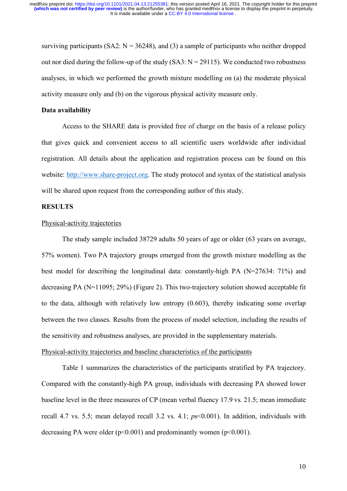surviving participants (SA2:  $N = 36248$ ), and (3) a sample of participants who neither dropped out nor died during the follow-up of the study  $(SA3: N = 29115)$ . We conducted two robustness analyses, in which we performed the growth mixture modelling on (a) the moderate physical activity measure only and (b) on the vigorous physical activity measure only.

#### **Data availability**

Access to the SHARE data is provided free of charge on the basis of a release policy that gives quick and convenient access to all scientific users worldwide after individual registration. All details about the application and registration process can be found on this website: http://www.share-project.org. The study protocol and syntax of the statistical analysis will be shared upon request from the corresponding author of this study.

# **RESULTS**

## Physical-activity trajectories

The study sample included 38729 adults 50 years of age or older (63 years on average, 57% women). Two PA trajectory groups emerged from the growth mixture modelling as the best model for describing the longitudinal data: constantly-high PA (N=27634: 71%) and decreasing PA (N=11095; 29%) (Figure 2). This two-trajectory solution showed acceptable fit to the data, although with relatively low entropy (0.603), thereby indicating some overlap between the two classes. Results from the process of model selection, including the results of the sensitivity and robustness analyses, are provided in the supplementary materials. Physical-activity trajectories and baseline characteristics of the participants

Table 1 summarizes the characteristics of the participants stratified by PA trajectory. Compared with the constantly-high PA group, individuals with decreasing PA showed lower baseline level in the three measures of CP (mean verbal fluency 17.9 vs. 21.5; mean immediate recall 4.7 vs. 5.5; mean delayed recall 3.2 vs. 4.1; *p*s<0.001). In addition, individuals with decreasing PA were older  $(p<0.001)$  and predominantly women  $(p<0.001)$ .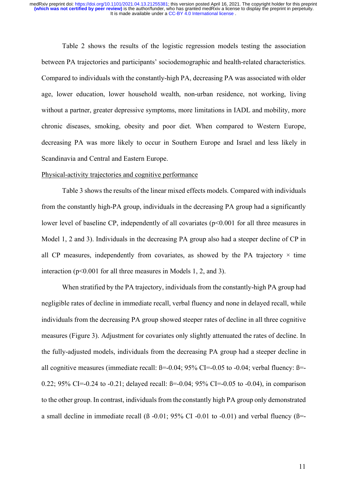Table 2 shows the results of the logistic regression models testing the association between PA trajectories and participants' sociodemographic and health-related characteristics. Compared to individuals with the constantly-high PA, decreasing PA was associated with older age, lower education, lower household wealth, non-urban residence, not working, living without a partner, greater depressive symptoms, more limitations in IADL and mobility, more chronic diseases, smoking, obesity and poor diet. When compared to Western Europe, decreasing PA was more likely to occur in Southern Europe and Israel and less likely in Scandinavia and Central and Eastern Europe.

# Physical-activity trajectories and cognitive performance

Table 3 shows the results of the linear mixed effects models. Compared with individuals from the constantly high-PA group, individuals in the decreasing PA group had a significantly lower level of baseline CP, independently of all covariates ( $p<0.001$  for all three measures in Model 1, 2 and 3). Individuals in the decreasing PA group also had a steeper decline of CP in all CP measures, independently from covariates, as showed by the PA trajectory  $\times$  time interaction (p<0.001 for all three measures in Models 1, 2, and 3).

When stratified by the PA trajectory, individuals from the constantly-high PA group had negligible rates of decline in immediate recall, verbal fluency and none in delayed recall, while individuals from the decreasing PA group showed steeper rates of decline in all three cognitive measures (Figure 3). Adjustment for covariates only slightly attenuated the rates of decline. In the fully-adjusted models, individuals from the decreasing PA group had a steeper decline in all cognitive measures (immediate recall:  $\beta$ =-0.04; 95% CI=-0.05 to -0.04; verbal fluency:  $\beta$ =-0.22; 95% CI=-0.24 to -0.21; delayed recall:  $\beta$ =-0.04; 95% CI=-0.05 to -0.04), in comparison to the other group. In contrast, individuals from the constantly high PA group only demonstrated a small decline in immediate recall  $(3 -0.01; 95\% \text{ CI} -0.01 \text{ to } -0.01)$  and verbal fluency  $(β = -1.01; 95\% \text{ CI} -0.01 \text{ to } -0.01)$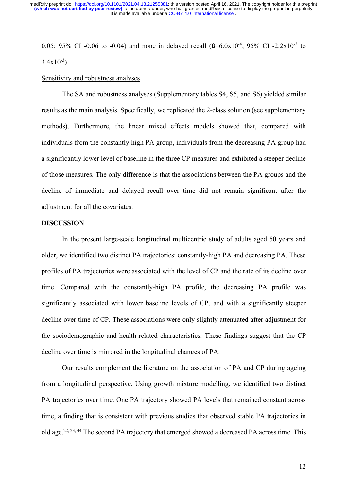0.05; 95% CI -0.06 to -0.04) and none in delayed recall  $(\beta = 6.0x10^{-4}; 95\% \text{ CI} -2.2x10^{-3} \text{ to}$  $3.4x10^{-3}$ ).

#### Sensitivity and robustness analyses

The SA and robustness analyses (Supplementary tables S4, S5, and S6) yielded similar results as the main analysis. Specifically, we replicated the 2-class solution (see supplementary methods). Furthermore, the linear mixed effects models showed that, compared with individuals from the constantly high PA group, individuals from the decreasing PA group had a significantly lower level of baseline in the three CP measures and exhibited a steeper decline of those measures. The only difference is that the associations between the PA groups and the decline of immediate and delayed recall over time did not remain significant after the adjustment for all the covariates.

# **DISCUSSION**

In the present large-scale longitudinal multicentric study of adults aged 50 years and older, we identified two distinct PA trajectories: constantly-high PA and decreasing PA. These profiles of PA trajectories were associated with the level of CP and the rate of its decline over time. Compared with the constantly-high PA profile, the decreasing PA profile was significantly associated with lower baseline levels of CP, and with a significantly steeper decline over time of CP. These associations were only slightly attenuated after adjustment for the sociodemographic and health-related characteristics. These findings suggest that the CP decline over time is mirrored in the longitudinal changes of PA.

Our results complement the literature on the association of PA and CP during ageing from a longitudinal perspective. Using growth mixture modelling, we identified two distinct PA trajectories over time. One PA trajectory showed PA levels that remained constant across time, a finding that is consistent with previous studies that observed stable PA trajectories in old age.22, 23, 44 The second PA trajectory that emerged showed a decreased PA across time. This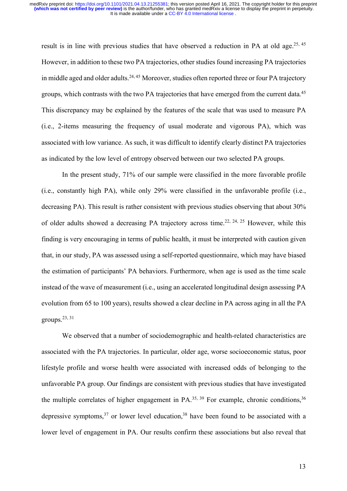result is in line with previous studies that have observed a reduction in PA at old age.<sup>25, 45</sup> However, in addition to these two PA trajectories, other studies found increasing PA trajectories in middle aged and older adults.<sup>24, 45</sup> Moreover, studies often reported three or four PA trajectory groups, which contrasts with the two PA trajectories that have emerged from the current data.<sup>45</sup> This discrepancy may be explained by the features of the scale that was used to measure PA (i.e., 2-items measuring the frequency of usual moderate and vigorous PA), which was associated with low variance. As such, it was difficult to identify clearly distinct PA trajectories as indicated by the low level of entropy observed between our two selected PA groups.

In the present study, 71% of our sample were classified in the more favorable profile (i.e., constantly high PA), while only 29% were classified in the unfavorable profile (i.e., decreasing PA). This result is rather consistent with previous studies observing that about 30% of older adults showed a decreasing PA trajectory across time.<sup>22, 24, 25</sup> However, while this finding is very encouraging in terms of public health, it must be interpreted with caution given that, in our study, PA was assessed using a self-reported questionnaire, which may have biased the estimation of participants' PA behaviors. Furthermore, when age is used as the time scale instead of the wave of measurement (i.e., using an accelerated longitudinal design assessing PA evolution from 65 to 100 years), results showed a clear decline in PA across aging in all the PA groups.23, 31

We observed that a number of sociodemographic and health-related characteristics are associated with the PA trajectories. In particular, older age, worse socioeconomic status, poor lifestyle profile and worse health were associated with increased odds of belonging to the unfavorable PA group. Our findings are consistent with previous studies that have investigated the multiple correlates of higher engagement in PA.<sup>35, 39</sup> For example, chronic conditions,  $36$ depressive symptoms,<sup>37</sup> or lower level education,<sup>38</sup> have been found to be associated with a lower level of engagement in PA. Our results confirm these associations but also reveal that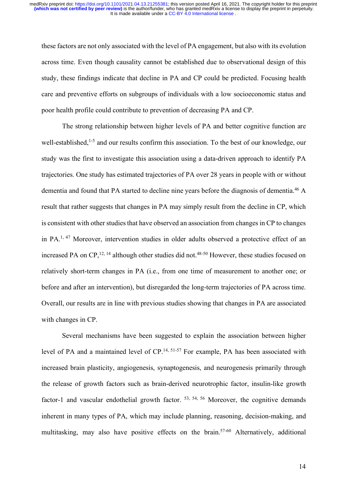these factors are not only associated with the level of PA engagement, but also with its evolution across time. Even though causality cannot be established due to observational design of this study, these findings indicate that decline in PA and CP could be predicted. Focusing health care and preventive efforts on subgroups of individuals with a low socioeconomic status and poor health profile could contribute to prevention of decreasing PA and CP.

The strong relationship between higher levels of PA and better cognitive function are well-established,<sup>1-5</sup> and our results confirm this association. To the best of our knowledge, our study was the first to investigate this association using a data-driven approach to identify PA trajectories. One study has estimated trajectories of PA over 28 years in people with or without dementia and found that PA started to decline nine years before the diagnosis of dementia. <sup>46</sup> A result that rather suggests that changes in PA may simply result from the decline in CP, which is consistent with other studies that have observed an association from changes in CP to changes in PA. 1, 47 Moreover, intervention studies in older adults observed a protective effect of an increased PA on CP,<sup>12, 14</sup> although other studies did not.<sup>48-50</sup> However, these studies focused on relatively short-term changes in PA (i.e., from one time of measurement to another one; or before and after an intervention), but disregarded the long-term trajectories of PA across time. Overall, our results are in line with previous studies showing that changes in PA are associated with changes in CP.

Several mechanisms have been suggested to explain the association between higher level of PA and a maintained level of CP.<sup>14, 51-57</sup> For example, PA has been associated with increased brain plasticity, angiogenesis, synaptogenesis, and neurogenesis primarily through the release of growth factors such as brain-derived neurotrophic factor, insulin-like growth factor-1 and vascular endothelial growth factor. <sup>53, 54, 56</sup> Moreover, the cognitive demands inherent in many types of PA, which may include planning, reasoning, decision-making, and multitasking, may also have positive effects on the brain.57-60 Alternatively, additional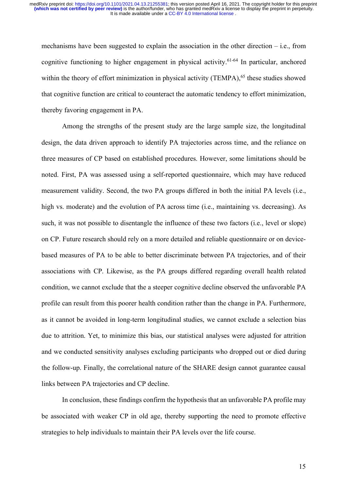mechanisms have been suggested to explain the association in the other direction – i.e., from cognitive functioning to higher engagement in physical activity. 61-64 In particular, anchored within the theory of effort minimization in physical activity (TEMPA), $65$  these studies showed that cognitive function are critical to counteract the automatic tendency to effort minimization, thereby favoring engagement in PA.

Among the strengths of the present study are the large sample size, the longitudinal design, the data driven approach to identify PA trajectories across time, and the reliance on three measures of CP based on established procedures. However, some limitations should be noted. First, PA was assessed using a self-reported questionnaire, which may have reduced measurement validity. Second, the two PA groups differed in both the initial PA levels (i.e., high vs. moderate) and the evolution of PA across time (i.e., maintaining vs. decreasing). As such, it was not possible to disentangle the influence of these two factors (i.e., level or slope) on CP. Future research should rely on a more detailed and reliable questionnaire or on devicebased measures of PA to be able to better discriminate between PA trajectories, and of their associations with CP. Likewise, as the PA groups differed regarding overall health related condition, we cannot exclude that the a steeper cognitive decline observed the unfavorable PA profile can result from this poorer health condition rather than the change in PA. Furthermore, as it cannot be avoided in long-term longitudinal studies, we cannot exclude a selection bias due to attrition. Yet, to minimize this bias, our statistical analyses were adjusted for attrition and we conducted sensitivity analyses excluding participants who dropped out or died during the follow-up. Finally, the correlational nature of the SHARE design cannot guarantee causal links between PA trajectories and CP decline.

In conclusion, these findings confirm the hypothesis that an unfavorable PA profile may be associated with weaker CP in old age, thereby supporting the need to promote effective strategies to help individuals to maintain their PA levels over the life course.

15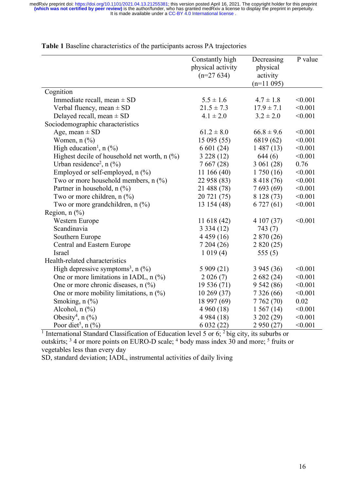|                                                 | Constantly high<br>physical activity<br>$(n=27634)$ | Decreasing<br>physical<br>activity<br>$(n=11095)$ | P value |
|-------------------------------------------------|-----------------------------------------------------|---------------------------------------------------|---------|
| Cognition                                       |                                                     |                                                   |         |
| Immediate recall, mean $\pm$ SD                 | $5.5 \pm 1.6$                                       | $4.7 \pm 1.8$                                     | < 0.001 |
| Verbal fluency, mean $\pm$ SD                   | $21.5 \pm 7.3$                                      | $17.9 \pm 7.1$                                    | < 0.001 |
| Delayed recall, mean $\pm$ SD                   | $4.1 \pm 2.0$                                       | $3.2 \pm 2.0$                                     | < 0.001 |
| Sociodemographic characteristics                |                                                     |                                                   |         |
|                                                 | $61.2 \pm 8.0$                                      | $66.8 \pm 9.6$                                    | < 0.001 |
| Age, mean $\pm$ SD                              |                                                     |                                                   | < 0.001 |
| Women, $n$ $\left(\frac{9}{6}\right)$           | 15 095 (55)                                         | 6819 (62)                                         | < 0.001 |
| High education <sup>1</sup> , n $(\% )$         | 6 601 (24)                                          | 1487(13)                                          | < 0.001 |
| Highest decile of household net worth, $n$ (%)  | 3228(12)                                            | 644(6)                                            |         |
| Urban residence <sup>2</sup> , $n$ (%)          | 7667(28)                                            | 3061(28)                                          | 0.76    |
| Employed or self-employed, $n$ (%)              | 11166(40)                                           | 1750(16)                                          | < 0.001 |
| Two or more household members, $n$ (%)          | 22 958 (83)                                         | 8 418 (76)                                        | < 0.001 |
| Partner in household, n (%)                     | 21 488 (78)                                         | 7693(69)                                          | < 0.001 |
| Two or more children, $n$ (%)                   | 20 721 (75)                                         | 8 128 (73)                                        | < 0.001 |
| Two or more grandchildren, n (%)                | 13 154 (48)                                         | 6727(61)                                          | < 0.001 |
| Region, $n$ $(\%)$                              |                                                     |                                                   |         |
| Western Europe                                  | 11 618 (42)                                         | 4 107 (37)                                        | < 0.001 |
| Scandinavia                                     | 3334(12)                                            | 743 (7)                                           |         |
| Southern Europe                                 | 4 4 5 9 (16)                                        | 2 870 (26)                                        |         |
| Central and Eastern Europe                      | 7204(26)                                            | 2 820 (25)                                        |         |
| Israel                                          | 1019(4)                                             | 555 $(5)$                                         |         |
| Health-related characteristics                  |                                                     |                                                   |         |
| High depressive symptoms <sup>3</sup> , $n$ (%) | 5 909 (21)                                          | 3945(36)                                          | < 0.001 |
| One or more limitations in IADL, $n$ (%)        | 2026(7)                                             | 2682(24)                                          | < 0.001 |
| One or more chronic diseases, $n$ (%)           | 19 536 (71)                                         | 9542(86)                                          | < 0.001 |
| One or more mobility limitations, $n$ (%)       | 10269(37)                                           | 7 3 2 6 (66)                                      | < 0.001 |
| Smoking, $n$ $(\%)$                             | 18 997 (69)                                         | 7762(70)                                          | 0.02    |
| Alcohol, $n$ $\left(\frac{9}{6}\right)$         | 4960(18)                                            | 1567(14)                                          | < 0.001 |
| Obesity <sup>4</sup> , n $(\%$ )                | 4 984 (18)                                          | 3202(29)                                          | < 0.001 |
| Poor diet <sup>5</sup> , $n$ (%)                | 6 032 (22)                                          | 2 950 (27)                                        | < 0.001 |

**Table 1** Baseline characteristics of the participants across PA trajectories

<sup>1</sup> International Standard Classification of Education level 5 or 6; <sup>2</sup> big city, its suburbs or outskirts; <sup>3</sup> 4 or more points on EURO-D scale; <sup>4</sup> body mass index 30 and more; <sup>5</sup> fruits or vegetables less than every day

SD, standard deviation; IADL, instrumental activities of daily living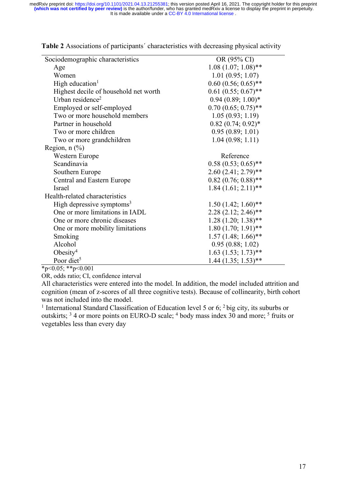| Sociodemographic characteristics      | OR (95% CI)              |
|---------------------------------------|--------------------------|
| Age                                   | $1.08(1.07; 1.08)$ **    |
| Women                                 | 1.01(0.95; 1.07)         |
| High education <sup>1</sup>           | $0.60(0.56; 0.65)$ **    |
| Highest decile of household net worth | $0.61(0.55; 0.67)$ **    |
| Urban residence <sup>2</sup>          | $0.94(0.89; 1.00)*$      |
| Employed or self-employed             | $0.70(0.65; 0.75)$ **    |
| Two or more household members         | 1.05(0.93; 1.19)         |
| Partner in household                  | $0.82$ $(0.74; 0.92)$ *  |
| Two or more children                  | 0.95(0.89; 1.01)         |
| Two or more grandchildren             | 1.04(0.98; 1.11)         |
| Region, $n$ $(\%)$                    |                          |
| Western Europe                        | Reference                |
| Scandinavia                           | $0.58(0.53; 0.65)$ **    |
| Southern Europe                       | $2.60(2.41; 2.79)$ **    |
| Central and Eastern Europe            | $0.82$ $(0.76; 0.88)$ ** |
| Israel                                | $1.84$ $(1.61; 2.11)$ ** |
| Health-related characteristics        |                          |
| High depressive symptoms <sup>3</sup> | $1.50(1.42; 1.60)$ **    |
| One or more limitations in IADL       | $2.28(2.12; 2.46)$ **    |
| One or more chronic diseases          | $1.28(1.20; 1.38)$ **    |
| One or more mobility limitations      | $1.80(1.70; 1.91)$ **    |
| Smoking                               | $1.57(1.48; 1.66)$ **    |
| Alcohol                               | 0.95(0.88; 1.02)         |
| Obesity <sup>4</sup>                  | $1.63$ $(1.53; 1.73)$ ** |
| Poor diet <sup>5</sup>                | $1.44$ $(1.35; 1.53)$ ** |

**Table 2** Associations of participants´ characteristics with decreasing physical activity

\*p<0.05; \*\*p<0.001

OR, odds ratio; CI, confidence interval

All characteristics were entered into the model. In addition, the model included attrition and cognition (mean of z-scores of all three cognitive tests). Because of collinearity, birth cohort was not included into the model.

<sup>1</sup> International Standard Classification of Education level 5 or 6;  $2$  big city, its suburbs or outskirts; 3 4 or more points on EURO-D scale; 4 body mass index 30 and more; 5 fruits or vegetables less than every day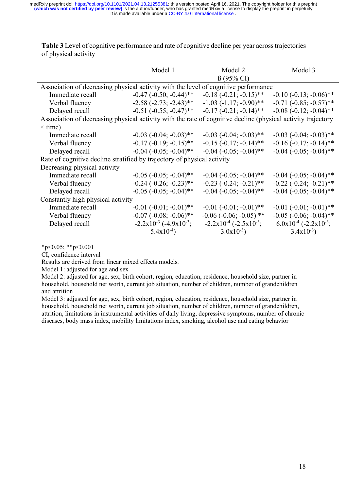It is made available under a CC-BY 4.0 International license. **(which was not certified by peer review)** is the author/funder, who has granted medRxiv a license to display the preprint in perpetuity. medRxiv preprint doi: [https://doi.org/10.1101/2021.04.13.21255381;](https://doi.org/10.1101/2021.04.13.21255381) this version posted April 16, 2021. The copyright holder for this preprint

|                                                                                                              | Model 1                           | Model 2                                         | Model 3                                |  |  |
|--------------------------------------------------------------------------------------------------------------|-----------------------------------|-------------------------------------------------|----------------------------------------|--|--|
|                                                                                                              |                                   | $\beta$ (95% CI)                                |                                        |  |  |
| Association of decreasing physical activity with the level of cognitive performance                          |                                   |                                                 |                                        |  |  |
| Immediate recall                                                                                             | $-0.47$ ( $-0.50$ ; $-0.44$ )**   | $-0.18$ $(-0.21; -0.15)$ **                     | $-0.10$ $(-0.13; -0.06)$ **            |  |  |
| Verbal fluency                                                                                               | $-2.58$ $(-2.73; -2.43)$ **       | $-1.03$ $(-1.17; -0.90)$ **                     | $-0.71$ $(-0.85; -0.57)$ **            |  |  |
| Delayed recall                                                                                               | $-0.51$ $(-0.55; -0.47)$ **       | $-0.17$ $(-0.21; -0.14)$ <sup>**</sup>          | $-0.08$ $(-0.12; -0.04)$ **            |  |  |
| Association of decreasing physical activity with the rate of cognitive decline (physical activity trajectory |                                   |                                                 |                                        |  |  |
| $\times$ time)                                                                                               |                                   |                                                 |                                        |  |  |
| Immediate recall                                                                                             | $-0.03$ $(-0.04; -0.03)$ **       | $-0.03$ $(-0.04; -0.03)$ **                     | $-0.03$ $(-0.04; -0.03)$ **            |  |  |
| Verbal fluency                                                                                               | $-0.17$ $(-0.19; -0.15)$ **       | $-0.15$ $(-0.17; -0.14)$ **                     | $-0.16$ $(-0.17; -0.14)$ **            |  |  |
| Delayed recall                                                                                               | $-0.04$ ( $-0.05$ ; $-0.04$ )**   | $-0.04$ ( $-0.05$ ; $-0.04$ )**                 | $-0.04$ ( $-0.05$ ; $-0.04$ )**        |  |  |
| Rate of cognitive decline stratified by trajectory of physical activity                                      |                                   |                                                 |                                        |  |  |
| Decreasing physical activity                                                                                 |                                   |                                                 |                                        |  |  |
| Immediate recall                                                                                             | $-0.05$ $(-0.05; -0.04)$ **       | $-0.04$ ( $-0.05$ ; $-0.04$ )**                 | $-0.04$ ( $-0.05$ ; $-0.04$ )**        |  |  |
| Verbal fluency                                                                                               | $-0.24$ $(-0.26; -0.23)$ **       | $-0.23$ $(-0.24; -0.21)$ **                     | $-0.22$ $(-0.24; -0.21)$ **            |  |  |
| Delayed recall                                                                                               | $-0.05$ $(-0.05; -0.04)$ **       | $-0.04$ ( $-0.05$ ; $-0.04$ )**                 | $-0.04$ $(-0.05; -0.04)$ **            |  |  |
| Constantly high physical activity                                                                            |                                   |                                                 |                                        |  |  |
| Immediate recall                                                                                             | $-0.01$ $(-0.01; -0.01)$ **       | $-0.01$ $(-0.01; -0.01)$ **                     | $-0.01$ $(-0.01; -0.01)$ **            |  |  |
| Verbal fluency                                                                                               | $-0.07$ $(-0.08; -0.06)$ **       | $-0.06$ ( $-0.06$ ; $-0.05$ ) **                | $-0.05$ ( $-0.06$ ; $-0.04$ )**        |  |  |
| Delayed recall                                                                                               | $-2.2x10^{-3}$ $(-4.9x10^{-3})$ ; | $-2.2 \times 10^{-4}$ $(-2.5 \times 10^{-3})$ ; | $6.0x10^{-4}$ (-2.2x10 <sup>-3</sup> ; |  |  |
|                                                                                                              | $5.4x10^{-4}$                     | $3.0x10^{-3}$                                   | $3.4x10^{-3}$                          |  |  |

**Table 3** Level of cognitive performance and rate of cognitive decline per year across trajectories of physical activity

 $*p<0.05$ ;  $*p<0.001$ 

CI, confidence interval

Results are derived from linear mixed effects models.

Model 1: adjusted for age and sex

Model 2: adjusted for age, sex, birth cohort, region, education, residence, household size, partner in household, household net worth, current job situation, number of children, number of grandchildren and attrition

Model 3: adjusted for age, sex, birth cohort, region, education, residence, household size, partner in household, household net worth, current job situation, number of children, number of grandchildren, attrition, limitations in instrumental activities of daily living, depressive symptoms, number of chronic diseases, body mass index, mobility limitations index, smoking, alcohol use and eating behavior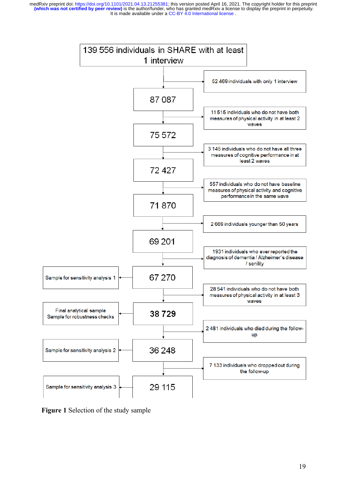

**Figure 1** Selection of the study sample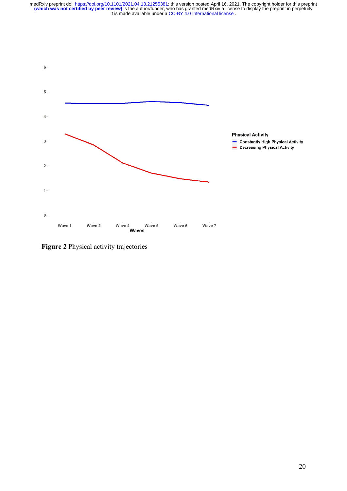

**Figure 2** Physical activity trajectories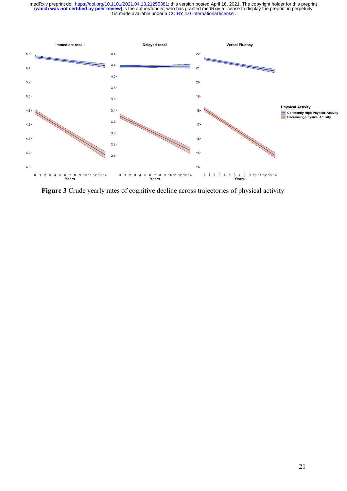

**Figure 3** Crude yearly rates of cognitive decline across trajectories of physical activity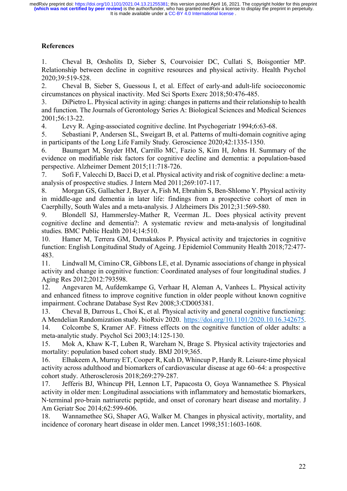# **References**

1. Cheval B, Orsholits D, Sieber S, Courvoisier DC, Cullati S, Boisgontier MP. Relationship between decline in cognitive resources and physical activity. Health Psychol 2020;39:519-528.

2. Cheval B, Sieber S, Guessous I, et al. Effect of early-and adult-life socioeconomic circumstances on physical inactivity. Med Sci Sports Exerc 2018;50:476-485.

3. DiPietro L. Physical activity in aging: changes in patterns and their relationship to health and function. The Journals of Gerontology Series A: Biological Sciences and Medical Sciences 2001;56:13-22.

4. Levy R. Aging-associated cognitive decline. Int Psychogeriatr 1994;6:63-68.

5. Sebastiani P, Andersen SL, Sweigart B, et al. Patterns of multi-domain cognitive aging in participants of the Long Life Family Study. Geroscience 2020;42:1335-1350.

6. Baumgart M, Snyder HM, Carrillo MC, Fazio S, Kim H, Johns H. Summary of the evidence on modifiable risk factors for cognitive decline and dementia: a population-based perspective. Alzheimer Dement 2015;11:718-726.

7. Sofi F, Valecchi D, Bacci D, et al. Physical activity and risk of cognitive decline: a metaanalysis of prospective studies. J Intern Med 2011;269:107-117.

8. Morgan GS, Gallacher J, Bayer A, Fish M, Ebrahim S, Ben-Shlomo Y. Physical activity in middle-age and dementia in later life: findings from a prospective cohort of men in Caerphilly, South Wales and a meta-analysis. J Alzheimers Dis 2012;31:569-580.

9. Blondell SJ, Hammersley-Mather R, Veerman JL. Does physical activity prevent cognitive decline and dementia?: A systematic review and meta-analysis of longitudinal studies. BMC Public Health 2014;14:510.

10. Hamer M, Terrera GM, Demakakos P. Physical activity and trajectories in cognitive function: English Longitudinal Study of Ageing. J Epidemiol Community Health 2018;72:477- 483.

11. Lindwall M, Cimino CR, Gibbons LE, et al. Dynamic associations of change in physical activity and change in cognitive function: Coordinated analyses of four longitudinal studies. J Aging Res 2012;2012:793598.

12. Angevaren M, Aufdemkampe G, Verhaar H, Aleman A, Vanhees L. Physical activity and enhanced fitness to improve cognitive function in older people without known cognitive impairment. Cochrane Database Syst Rev 2008;3:CD005381.

13. Cheval B, Darrous L, Choi K, et al. Physical activity and general cognitive functioning: A Mendelian Randomization study. bioRxiv 2020. https://doi.org/10.1101/2020.10.16.342675.

14. Colcombe S, Kramer AF. Fitness effects on the cognitive function of older adults: a meta-analytic study. Psychol Sci 2003;14:125-130.

15. Mok A, Khaw K-T, Luben R, Wareham N, Brage S. Physical activity trajectories and mortality: population based cohort study. BMJ 2019;365.

16. Elhakeem A, Murray ET, Cooper R, Kuh D, Whincup P, Hardy R. Leisure-time physical activity across adulthood and biomarkers of cardiovascular disease at age 60–64: a prospective cohort study. Atherosclerosis 2018;269:279-287.

17. Jefferis BJ, Whincup PH, Lennon LT, Papacosta O, Goya Wannamethee S. Physical activity in older men: Longitudinal associations with inflammatory and hemostatic biomarkers, N-terminal pro-brain natriuretic peptide, and onset of coronary heart disease and mortality. J Am Geriatr Soc 2014;62:599-606.

18. Wannamethee SG, Shaper AG, Walker M. Changes in physical activity, mortality, and incidence of coronary heart disease in older men. Lancet 1998;351:1603-1608.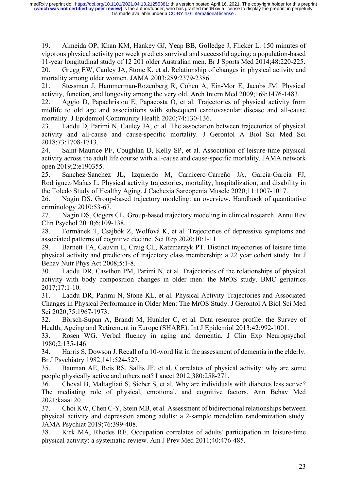19. Almeida OP, Khan KM, Hankey GJ, Yeap BB, Golledge J, Flicker L. 150 minutes of vigorous physical activity per week predicts survival and successful ageing: a population-based 11-year longitudinal study of 12 201 older Australian men. Br J Sports Med 2014;48:220-225. 20. Gregg EW, Cauley JA, Stone K, et al. Relationship of changes in physical activity and mortality among older women. JAMA 2003;289:2379-2386.

21. Stessman J, Hammerman-Rozenberg R, Cohen A, Ein-Mor E, Jacobs JM. Physical activity, function, and longevity among the very old. Arch Intern Med 2009;169:1476-1483.

22. Aggio D, Papachristou E, Papacosta O, et al. Trajectories of physical activity from midlife to old age and associations with subsequent cardiovascular disease and all-cause mortality. J Epidemiol Community Health 2020;74:130-136.

23. Laddu D, Parimi N, Cauley JA, et al. The association between trajectories of physical activity and all-cause and cause-specific mortality. J Gerontol A Biol Sci Med Sci 2018;73:1708-1713.

24. Saint-Maurice PF, Coughlan D, Kelly SP, et al. Association of leisure-time physical activity across the adult life course with all-cause and cause-specific mortality. JAMA network open 2019;2:e190355.

25. Sanchez-Sanchez JL, Izquierdo M, Carnicero-Carreño JA, García-García FJ, Rodríguez-Mañas L. Physical activity trajectories, mortality, hospitalization, and disability in the Toledo Study of Healthy Aging. J Cachexia Sarcopenia Muscle 2020;11:1007-1017.

26. Nagin DS. Group-based trajectory modeling: an overview. Handbook of quantitative criminology 2010:53-67.

27. Nagin DS, Odgers CL. Group-based trajectory modeling in clinical research. Annu Rev Clin Psychol 2010;6:109-138.

28. Formánek T, Csajbók Z, Wolfová K, et al. Trajectories of depressive symptoms and associated patterns of cognitive decline. Sci Rep 2020;10:1-11.

29. Barnett TA, Gauvin L, Craig CL, Katzmarzyk PT. Distinct trajectories of leisure time physical activity and predictors of trajectory class membership: a 22 year cohort study. Int J Behav Nutr Phys Act 2008;5:1-8.

30. Laddu DR, Cawthon PM, Parimi N, et al. Trajectories of the relationships of physical activity with body composition changes in older men: the MrOS study. BMC geriatrics 2017;17:1-10.

31. Laddu DR, Parimi N, Stone KL, et al. Physical Activity Trajectories and Associated Changes in Physical Performance in Older Men: The MrOS Study. J Gerontol A Biol Sci Med Sci 2020;75:1967-1973.

32. Börsch-Supan A, Brandt M, Hunkler C, et al. Data resource profile: the Survey of Health, Ageing and Retirement in Europe (SHARE). Int J Epidemiol 2013;42:992-1001.

33. Rosen WG. Verbal fluency in aging and dementia. J Clin Exp Neuropsychol 1980;2:135-146.

34. Harris S, Dowson J. Recall of a 10-word list in the assessment of dementia in the elderly. Br J Psychiatry 1982;141:524-527.

35. Bauman AE, Reis RS, Sallis JF, et al. Correlates of physical activity: why are some people physically active and others not? Lancet 2012;380:258-271.

36. Cheval B, Maltagliati S, Sieber S, et al. Why are individuals with diabetes less active? The mediating role of physical, emotional, and cognitive factors. Ann Behav Med 2021:kaaa120.

37. Choi KW, Chen C-Y, Stein MB, et al. Assessment of bidirectional relationships between physical activity and depression among adults: a 2-sample mendelian randomization study. JAMA Psychiat 2019;76:399-408.

38. Kirk MA, Rhodes RE. Occupation correlates of adults' participation in leisure-time physical activity: a systematic review. Am J Prev Med 2011;40:476-485.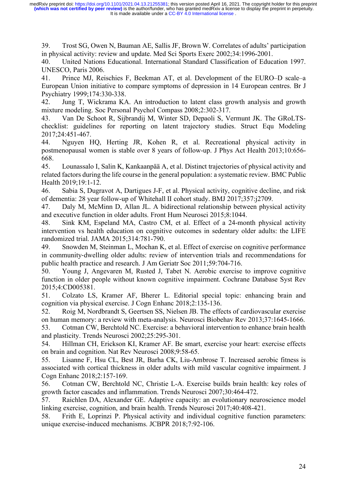39. Trost SG, Owen N, Bauman AE, Sallis JF, Brown W. Correlates of adults' participation in physical activity: review and update. Med Sci Sports Exerc 2002;34:1996-2001.

40. United Nations Educational. International Standard Classification of Education 1997. UNESCO, Paris 2006.

41. Prince MJ, Reischies F, Beekman AT, et al. Development of the EURO–D scale–a European Union initiative to compare symptoms of depression in 14 European centres. Br J Psychiatry 1999;174:330-338.

42. Jung T, Wickrama KA. An introduction to latent class growth analysis and growth mixture modeling. Soc Personal Psychol Compass 2008;2:302-317.

43. Van De Schoot R, Sijbrandij M, Winter SD, Depaoli S, Vermunt JK. The GRoLTSchecklist: guidelines for reporting on latent trajectory studies. Struct Equ Modeling 2017;24:451-467.

44. Nguyen HQ, Herting JR, Kohen R, et al. Recreational physical activity in postmenopausal women is stable over 8 years of follow-up. J Phys Act Health 2013;10:656- 668.

45. Lounassalo I, Salin K, Kankaanpää A, et al. Distinct trajectories of physical activity and related factors during the life course in the general population: a systematic review. BMC Public Health 2019;19:1-12.

46. Sabia S, Dugravot A, Dartigues J-F, et al. Physical activity, cognitive decline, and risk of dementia: 28 year follow-up of Whitehall II cohort study. BMJ 2017;357:j2709.

47. Daly M, McMinn D, Allan JL. A bidirectional relationship between physical activity and executive function in older adults. Front Hum Neurosci 2015;8:1044.

48. Sink KM, Espeland MA, Castro CM, et al. Effect of a 24-month physical activity intervention vs health education on cognitive outcomes in sedentary older adults: the LIFE randomized trial. JAMA 2015;314:781-790.

49. Snowden M, Steinman L, Mochan K, et al. Effect of exercise on cognitive performance in community-dwelling older adults: review of intervention trials and recommendations for public health practice and research. J Am Geriatr Soc 2011;59:704-716.

50. Young J, Angevaren M, Rusted J, Tabet N. Aerobic exercise to improve cognitive function in older people without known cognitive impairment. Cochrane Database Syst Rev 2015;4:CD005381.

51. Colzato LS, Kramer AF, Bherer L. Editorial special topic: enhancing brain and cognition via physical exercise. J Cogn Enhanc 2018;2:135-136.

52. Roig M, Nordbrandt S, Geertsen SS, Nielsen JB. The effects of cardiovascular exercise on human memory: a review with meta-analysis. Neurosci Biobehav Rev 2013;37:1645-1666.

53. Cotman CW, Berchtold NC. Exercise: a behavioral intervention to enhance brain health and plasticity. Trends Neurosci 2002;25:295-301.

54. Hillman CH, Erickson KI, Kramer AF. Be smart, exercise your heart: exercise effects on brain and cognition. Nat Rev Neurosci 2008;9:58-65.

55. Lisanne F, Hsu CL, Best JR, Barha CK, Liu-Ambrose T. Increased aerobic fitness is associated with cortical thickness in older adults with mild vascular cognitive impairment. J Cogn Enhanc 2018;2:157-169.

56. Cotman CW, Berchtold NC, Christie L-A. Exercise builds brain health: key roles of growth factor cascades and inflammation. Trends Neurosci 2007;30:464-472.

57. Raichlen DA, Alexander GE. Adaptive capacity: an evolutionary neuroscience model linking exercise, cognition, and brain health. Trends Neurosci 2017;40:408-421.

58. Frith E, Loprinzi P. Physical activity and individual cognitive function parameters: unique exercise-induced mechanisms. JCBPR 2018;7:92-106.